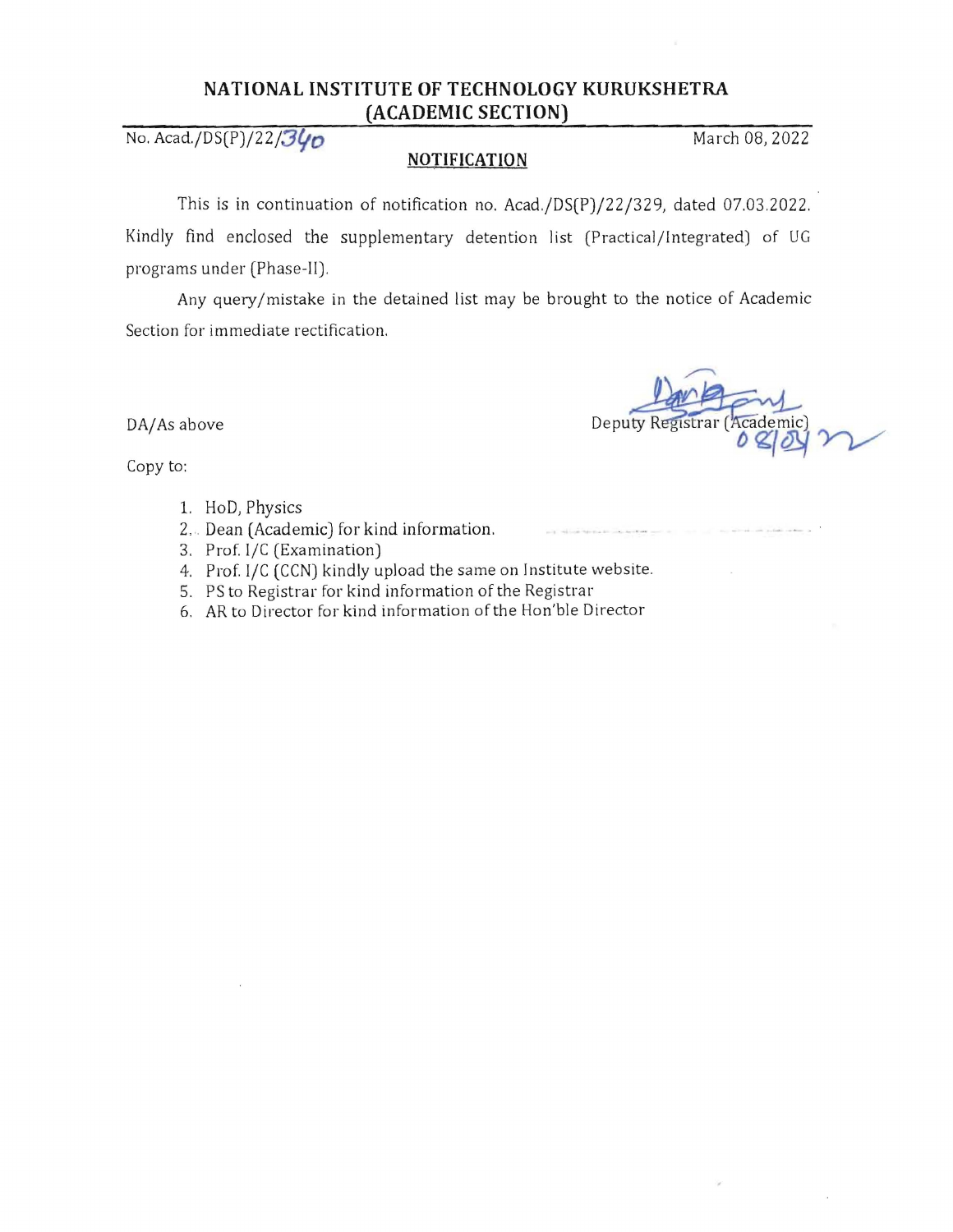## **NATIONAL INSTITUTE OF TECHNOLOGY KURUKSHETRA (ACADEMIC SECTION)**

No. Acad./DS(P)/22/34p

## **NOTIFICATION**

This is in continuation of notification no. Acad./DS(P)/22/329, dated 07.03.2022. Kindly find enclosed the supplementary detention Jist (Practical/Integrated) of UG programs under (Phase-II).

Any query/mistake in the detained list may be brought to the notice of Academic Section for immediate rectification.

DA/As above **strategies Deputy Registrar Academic** 

Copy to:

- 1. HoD, Physics
- 2,. Dean (Academic) for kind information.
- 3. Prof. l/C (Examination)
- 4. Prof. l/C (CCN) kindly upload the same on Institute website.
- 5. PS to Registrar for kind information of the Registrar
- 6, AR to Director for kind information of the Hon'ble Director